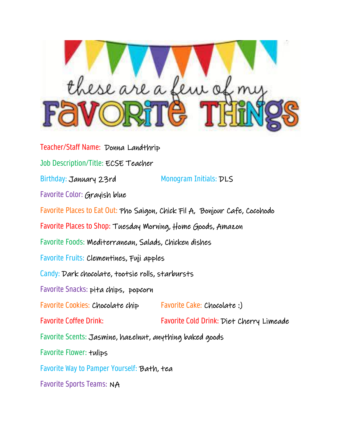

Teacher/Staff Name: Donna Landthrip Job Description/Title: ECSE Teacher Birthday: January 23rd Monogram Initials: DLS Favorite Color: Grayish blue Favorite Places to Eat Out: Pho Saigon, Chick Fil A, Bonjour Cafe, Cocohodo Favorite Places to Shop: Tuesday Morning, Home Goods, Amazon Favorite Foods: Mediterranean, Salads, Chicken dishes Favorite Fruits: Clementines, Fuji apples Candy: Dark chocolate, tootsie rolls, starbursts Favorite Snacks: pita chips, popcorn Favorite Cookies: Chocolate chip Favorite Cake: Chocolate :) Favorite Coffee Drink: Favorite Cold Drink: Diet Cherry Limeade Favorite Scents: Jasmine, hazelnut, anything baked goods Favorite Flower: tulips Favorite Way to Pamper Yourself: Bath, tea Favorite Sports Teams: NA